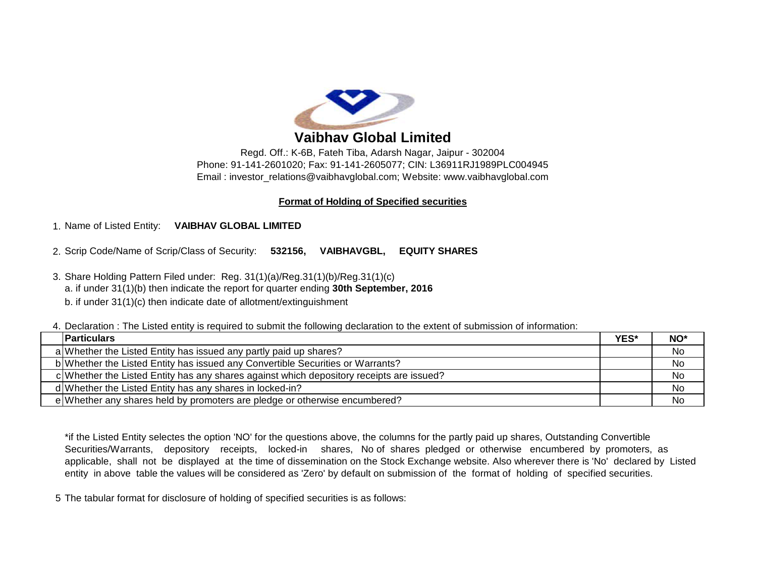

# **Vaibhav Global Limited**

Regd. Off.: K-6B, Fateh Tiba, Adarsh Nagar, Jaipur - 302004 Phone: 91-141-2601020; Fax: 91-141-2605077; CIN: L36911RJ1989PLC004945 Email : [investor\\_relations@vaibhavglobal.com;](mailto:investor_relations@vaibhavglobal.com;) Website: [www.vaibhavglobal.com](http://www.vaibhavglobal.com)

## **Format of Holding of Specified securities**

# 1. Name of Listed Entity: **VAIBHAV GLOBAL LIMITED**

2. Scrip Code/Name of Scrip/Class of Security: **532156, VAIBHAVGBL, EQUITY SHARES**

3. Share Holding Pattern Filed under: Reg. 31(1)(a)/Reg.31(1)(b)/Reg.31(1)(c) a. if under 31(1)(b) then indicate the report for quarter ending **30th September, 2016** b. if under 31(1)(c) then indicate date of allotment/extinguishment

4. Declaration : The Listed entity is required to submit the following declaration to the extent of submission of information:

| <b>IParticulars</b>                                                                      | YES* | NO* |
|------------------------------------------------------------------------------------------|------|-----|
| a Whether the Listed Entity has issued any partly paid up shares?                        |      | No  |
| b Whether the Listed Entity has issued any Convertible Securities or Warrants?           |      | No  |
| c Whether the Listed Entity has any shares against which depository receipts are issued? |      | No. |
| d Whether the Listed Entity has any shares in locked-in?                                 |      | No  |
| e Whether any shares held by promoters are pledge or otherwise encumbered?               |      | No  |

\*if the Listed Entity selectes the option 'NO' for the questions above, the columns for the partly paid up shares, Outstanding Convertible Securities/Warrants, depository receipts, locked-in shares, No of shares pledged or otherwise encumbered by promoters, as applicable, shall not be displayed at the time of dissemination on the Stock Exchange website. Also wherever there is 'No' declared by Listed entity in above table the values will be considered as 'Zero' by default on submission of the format of holding of specified securities.

5 The tabular format for disclosure of holding of specified securities is as follows: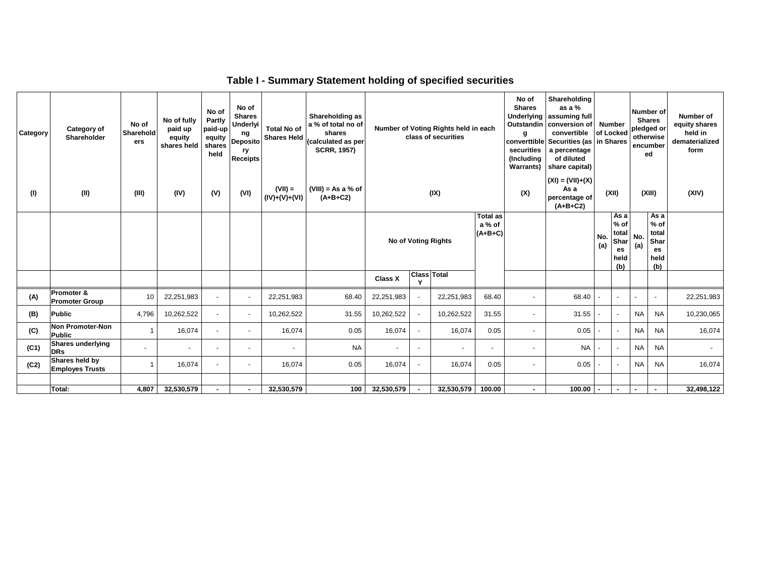| Category | Category of<br>Shareholder               | No of<br>Sharehold<br>ers | No of fully<br>paid up<br>equity<br>shares held | No of<br>Partly<br>paid-up<br>equity<br>shares<br>held | No of<br><b>Shares</b><br><b>Underlyi</b><br>ng<br><b>Deposito</b><br>ry<br><b>Receipts</b> | Shareholding as<br>a % of total no of<br><b>Total No of</b><br>shares<br><b>Shares Held</b><br>(calculated as per<br><b>SCRR, 1957)</b> |                                    | class of securities        |                          | Number of Voting Rights held in each   |                          |                          |            |                                                      |                          |                                                     | No of<br><b>Shares</b><br>Underlying<br><b>Outstandin</b><br>g<br>securities<br>(Including<br><b>Warrants)</b> | Shareholding<br>as a $%$<br>assuming full<br>conversion of<br>convertible<br>converttible Securities (as in Shares<br>a percentage<br>of diluted<br>share capital) | Number                              |       | <b>Number</b> of<br><b>Shares</b><br>of Locked pledged or<br>otherwise<br>encumber<br>ed |        | Number of<br>equity shares<br>held in<br>dematerialized<br>form |       |
|----------|------------------------------------------|---------------------------|-------------------------------------------------|--------------------------------------------------------|---------------------------------------------------------------------------------------------|-----------------------------------------------------------------------------------------------------------------------------------------|------------------------------------|----------------------------|--------------------------|----------------------------------------|--------------------------|--------------------------|------------|------------------------------------------------------|--------------------------|-----------------------------------------------------|----------------------------------------------------------------------------------------------------------------|--------------------------------------------------------------------------------------------------------------------------------------------------------------------|-------------------------------------|-------|------------------------------------------------------------------------------------------|--------|-----------------------------------------------------------------|-------|
| (1)      | (II)                                     | (III)                     | (IV)                                            | (V)                                                    | (VI)                                                                                        | $(VII) =$<br>$(IV)+(V)+(VI)$                                                                                                            | $(VIII) = As a % of$<br>$(A+B+C2)$ | (IX)                       |                          |                                        |                          |                          |            |                                                      |                          |                                                     | As a<br>(X)<br>$(A+B+C2)$                                                                                      |                                                                                                                                                                    | $(XI) = (VII)+(X)$<br>percentage of | (XII) |                                                                                          | (XIII) |                                                                 | (XIV) |
|          |                                          |                           |                                                 |                                                        |                                                                                             |                                                                                                                                         |                                    | <b>No of Voting Rights</b> |                          | <b>Total as</b><br>a % of<br>$(A+B+C)$ |                          |                          | No.<br>(a) | As a<br>$%$ of<br>total<br>Shar<br>es<br>held<br>(b) | No.<br>(a)               | Asa<br>$%$ of<br>total<br>Shar<br>es<br>held<br>(b) |                                                                                                                |                                                                                                                                                                    |                                     |       |                                                                                          |        |                                                                 |       |
|          |                                          |                           |                                                 |                                                        |                                                                                             |                                                                                                                                         |                                    | <b>Class X</b>             | <b>Class Total</b><br>Y  |                                        |                          |                          |            |                                                      |                          |                                                     |                                                                                                                |                                                                                                                                                                    |                                     |       |                                                                                          |        |                                                                 |       |
| (A)      | Promoter &<br><b>Promoter Group</b>      | 10                        | 22,251,983                                      | $\sim$                                                 | $\blacksquare$                                                                              | 22,251,983                                                                                                                              | 68.40                              | 22,251,983                 | $\sim$                   | 22,251,983                             | 68.40                    |                          | 68.40      |                                                      | $\blacksquare$           |                                                     | $\sim$                                                                                                         | 22,251,983                                                                                                                                                         |                                     |       |                                                                                          |        |                                                                 |       |
| (B)      | <b>Public</b>                            | 4,796                     | 10,262,522                                      | $\sim$                                                 | $\overline{\phantom{a}}$                                                                    | 10,262,522                                                                                                                              | 31.55                              | 10,262,522                 | $\sim$                   | 10,262,522                             | 31.55                    | $\overline{\phantom{a}}$ | 31.55      |                                                      | $\sim$                   | NA I                                                | <b>NA</b>                                                                                                      | 10,230,065                                                                                                                                                         |                                     |       |                                                                                          |        |                                                                 |       |
| (C)      | Non Promoter-Non<br><b>Public</b>        | $\mathbf{1}$              | 16,074                                          | $\sim$                                                 | $\sim$                                                                                      | 16,074                                                                                                                                  | 0.05                               | 16,074                     | $\sim$                   | 16,074                                 | 0.05                     | $\sim$                   | 0.05       |                                                      | $\overline{\phantom{a}}$ | <b>NA</b>                                           | <b>NA</b>                                                                                                      | 16,074                                                                                                                                                             |                                     |       |                                                                                          |        |                                                                 |       |
| (C1)     | <b>Shares underlying</b><br><b>DRs</b>   |                           | $\overline{\phantom{a}}$                        | $\overline{\phantom{a}}$                               | $\overline{\phantom{a}}$                                                                    | $\overline{\phantom{a}}$                                                                                                                | <b>NA</b>                          | $\overline{\phantom{a}}$   | $\overline{\phantom{a}}$ | $\overline{\phantom{a}}$               | $\overline{\phantom{a}}$ | $\sim$                   | <b>NA</b>  |                                                      | $\overline{\phantom{a}}$ | <b>NA</b>                                           | <b>NA</b>                                                                                                      | $\sim$                                                                                                                                                             |                                     |       |                                                                                          |        |                                                                 |       |
| (C2)     | Shares held by<br><b>Employes Trusts</b> | $\mathbf{1}$              | 16,074                                          | $\sim$                                                 | $\overline{\phantom{a}}$                                                                    | 16,074                                                                                                                                  | 0.05                               | 16,074                     | $\sim$                   | 16,074                                 | 0.05                     | $\overline{a}$           | 0.05       |                                                      | $\overline{\phantom{a}}$ | <b>NA</b>                                           | <b>NA</b>                                                                                                      | 16,074                                                                                                                                                             |                                     |       |                                                                                          |        |                                                                 |       |
|          | <b>Total:</b>                            | 4,807                     | 32,530,579                                      | ٠.                                                     | ٠                                                                                           | 32,530,579                                                                                                                              | 100                                | 32,530,579                 | $\blacksquare$           | 32,530,579                             | 100.00                   |                          | 100.00     |                                                      | $\blacksquare$           |                                                     |                                                                                                                | 32,498,122                                                                                                                                                         |                                     |       |                                                                                          |        |                                                                 |       |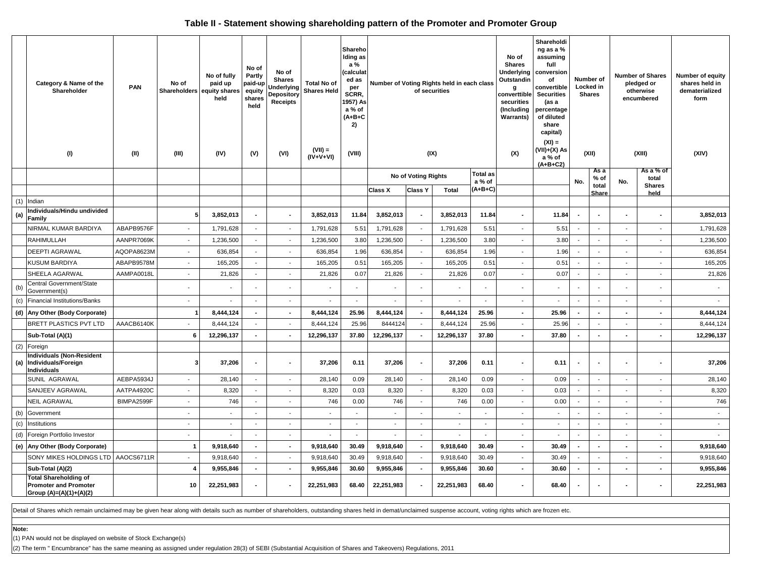### **Table II - Statement showing shareholding pattern of the Promoter and Promoter Group**

|     | Category & Name of the<br>Shareholder<br>(1)                                            | <b>PAN</b><br>(II) | No of<br>Shareholders<br>(III) | No of fully<br>paid up<br>equity shares<br>held<br>(IV) | No of<br>Partly<br>paid-up<br>equity<br>shares<br>held<br>(V) | No of<br><b>Shares</b><br>Underlying<br><b>Depository</b><br>Receipts<br>(VI) | <b>Total No of</b><br><b>Shares Held</b><br>$(VII) =$<br>$(IV+V+VI)$ | Shareho<br>Iding as<br>a %<br>(calculat<br>ed as<br>per<br>SCRR.<br>1957) As<br>a % of<br>$(A+B+C$<br>2)<br>(VIII) | Number of Voting Rights held in each class<br>of securities<br>(IX) |                          |            |                           | No of<br><b>Shares</b><br>Underlying<br>Outstandin<br>a<br>converttible<br>securities<br>(Including<br>Warrants)<br>(X) | Shareholdi<br>ng as a %<br>assuming<br>full<br>conversion<br>of<br>convertible<br><b>Securities</b><br>(as a<br>percentage<br>of diluted<br>share<br>capital)<br>$(XI) =$<br>(VII)+(X) As<br>a % of<br>(A+B+C2) | Number of<br>Locked in<br><b>Shares</b><br>(XII) |                          | <b>Number of Shares</b><br>pledged or<br>otherwise<br>encumbered<br>(XIII) |                          | Number of equity<br>shares held in<br>dematerialized<br>form<br>(XIV) |  |  |  |
|-----|-----------------------------------------------------------------------------------------|--------------------|--------------------------------|---------------------------------------------------------|---------------------------------------------------------------|-------------------------------------------------------------------------------|----------------------------------------------------------------------|--------------------------------------------------------------------------------------------------------------------|---------------------------------------------------------------------|--------------------------|------------|---------------------------|-------------------------------------------------------------------------------------------------------------------------|-----------------------------------------------------------------------------------------------------------------------------------------------------------------------------------------------------------------|--------------------------------------------------|--------------------------|----------------------------------------------------------------------------|--------------------------|-----------------------------------------------------------------------|--|--|--|
|     |                                                                                         |                    |                                |                                                         |                                                               |                                                                               |                                                                      |                                                                                                                    |                                                                     | No of Voting Rights      |            | <b>Total as</b><br>a % of |                                                                                                                         |                                                                                                                                                                                                                 | No.                                              | As a<br>$%$ of           | No.                                                                        | As a % of<br>total       |                                                                       |  |  |  |
|     |                                                                                         |                    |                                |                                                         |                                                               |                                                                               |                                                                      |                                                                                                                    | Class X                                                             | <b>Class Y</b>           | Total      | $(A+B+C)$                 |                                                                                                                         |                                                                                                                                                                                                                 |                                                  | total<br>Share           |                                                                            | <b>Shares</b><br>held    |                                                                       |  |  |  |
|     | $(1)$ Indian                                                                            |                    |                                |                                                         |                                                               |                                                                               |                                                                      |                                                                                                                    |                                                                     |                          |            |                           |                                                                                                                         |                                                                                                                                                                                                                 |                                                  |                          |                                                                            |                          |                                                                       |  |  |  |
| (a) | Individuals/Hindu undivided<br>Family                                                   |                    | 5                              | 3,852,013                                               | $\blacksquare$                                                |                                                                               | 3,852,013                                                            | 11.84                                                                                                              | 3,852,013                                                           |                          | 3,852,013  | 11.84                     | ٠                                                                                                                       | 11.84                                                                                                                                                                                                           |                                                  |                          |                                                                            |                          | 3,852,013                                                             |  |  |  |
|     | NIRMAL KUMAR BARDIYA                                                                    | ABAPB9576F         | $\overline{\phantom{a}}$       | 1,791,628                                               | $\overline{\phantom{a}}$                                      | $\overline{\phantom{a}}$                                                      | 1,791,628                                                            | 5.51                                                                                                               | 1,791,628                                                           |                          | 1,791,628  | 5.51                      | $\overline{\phantom{a}}$                                                                                                | 5.51                                                                                                                                                                                                            |                                                  | $\overline{\phantom{a}}$ | $\overline{\phantom{a}}$                                                   | $\overline{\phantom{a}}$ | 1,791,628                                                             |  |  |  |
|     | <b>RAHIMULLAH</b>                                                                       | AANPR7069K         | $\sim$                         | 1,236,500                                               | $\sim$                                                        | $\sim$                                                                        | 1,236,500                                                            | 3.80                                                                                                               | 1,236,500                                                           |                          | 1,236,500  | 3.80                      | $\overline{a}$                                                                                                          | 3.80                                                                                                                                                                                                            |                                                  | $\overline{\phantom{a}}$ |                                                                            | $\sim$                   | 1,236,500                                                             |  |  |  |
|     | <b>DEEPTI AGRAWAL</b>                                                                   | AQOPA8623M         | $\sim$                         | 636,854                                                 | $\overline{\phantom{a}}$                                      | $\overline{\phantom{a}}$                                                      | 636,854                                                              | 1.96                                                                                                               | 636,854                                                             | $\overline{\phantom{a}}$ | 636,854    | 1.96                      | $\overline{\phantom{a}}$                                                                                                | 1.96                                                                                                                                                                                                            | $\sim$                                           | $\overline{\phantom{a}}$ | $\overline{\phantom{a}}$                                                   | $\overline{\phantom{a}}$ | 636,854                                                               |  |  |  |
|     | <b>KUSUM BARDIYA</b>                                                                    | ABAPB9578M         | $\overline{\phantom{a}}$       | 165,205                                                 | $\overline{\phantom{a}}$                                      | $\overline{\phantom{a}}$                                                      | 165,205                                                              | 0.51                                                                                                               | 165,205                                                             | $\overline{\phantom{a}}$ | 165,205    | 0.51                      | $\blacksquare$                                                                                                          | 0.51                                                                                                                                                                                                            | $\overline{\phantom{a}}$                         | $\blacksquare$           | $\overline{\phantom{a}}$                                                   | $\overline{\phantom{a}}$ | 165,205                                                               |  |  |  |
|     | SHEELA AGARWAL                                                                          | AAMPA0018L         | $\sim$                         | 21,826                                                  | $\sim$                                                        | $\sim$                                                                        | 21,826                                                               | 0.07                                                                                                               | 21,826                                                              | $\overline{\phantom{a}}$ | 21,826     | 0.07                      | $\blacksquare$                                                                                                          | 0.07                                                                                                                                                                                                            |                                                  | $\sim$                   | $\sim$                                                                     | $\sim$                   | 21,826                                                                |  |  |  |
| (b) | Central Government/State<br>Government(s)                                               |                    | $\overline{\phantom{a}}$       |                                                         |                                                               | $\overline{\phantom{a}}$                                                      |                                                                      | $\sim$                                                                                                             |                                                                     |                          |            |                           |                                                                                                                         |                                                                                                                                                                                                                 |                                                  |                          |                                                                            |                          | $\sim$                                                                |  |  |  |
|     | (c) Financial Institutions/Banks                                                        |                    | $\sim$                         | $\overline{\phantom{a}}$                                | $\sim$                                                        | $\overline{\phantom{a}}$                                                      | $\sim$                                                               | $\overline{\phantom{a}}$                                                                                           | $\sim$                                                              | $\overline{\phantom{a}}$ | $\sim$     | $\overline{a}$            | $\overline{\phantom{a}}$                                                                                                | $\overline{\phantom{a}}$                                                                                                                                                                                        | $\sim$                                           | $\overline{\phantom{a}}$ | $\overline{\phantom{a}}$                                                   | $\overline{\phantom{a}}$ | $\sim$                                                                |  |  |  |
|     | (d) Any Other (Body Corporate)                                                          |                    | -1                             | 8,444,124                                               | $\sim$                                                        |                                                                               | 8,444,124                                                            | 25.96                                                                                                              | 8,444,124                                                           |                          | 8,444,124  | 25.96                     | $\blacksquare$                                                                                                          | 25.96                                                                                                                                                                                                           |                                                  | $\sim$                   | $\blacksquare$                                                             |                          | 8,444,124                                                             |  |  |  |
|     | BRETT PLASTICS PVT LTD                                                                  | AAACB6140K         | $\mathcal{L}_{\mathcal{A}}$    | 8,444,124                                               | $\sim$                                                        | $\overline{\phantom{a}}$                                                      | 8,444,124                                                            | 25.96                                                                                                              | 8444124                                                             |                          | 8,444,124  | 25.96                     | $\overline{a}$                                                                                                          | 25.96                                                                                                                                                                                                           |                                                  | $\overline{a}$           | $\sim$                                                                     | $\sim$                   | 8,444,124                                                             |  |  |  |
|     | Sub-Total (A)(1)                                                                        |                    | 6                              | 12,296,137                                              | $\overline{a}$                                                | $\sim$                                                                        | 12,296,137                                                           | 37.80                                                                                                              | 12,296,137                                                          | $\overline{a}$           | 12,296,137 | 37.80                     | $\overline{\phantom{a}}$                                                                                                | 37.80                                                                                                                                                                                                           | $\sim$                                           | $\sim$                   | $\blacksquare$                                                             | $\sim$                   | 12,296,137                                                            |  |  |  |
|     | (2) Foreign                                                                             |                    |                                |                                                         |                                                               |                                                                               |                                                                      |                                                                                                                    |                                                                     |                          |            |                           |                                                                                                                         |                                                                                                                                                                                                                 |                                                  |                          |                                                                            |                          |                                                                       |  |  |  |
|     | <b>Individuals (Non-Resident</b><br>(a) Individuals/Foreign<br><b>Individuals</b>       |                    | $\mathbf{3}$                   | 37,206                                                  | $\blacksquare$                                                | $\sim$                                                                        | 37,206                                                               | 0.11                                                                                                               | 37,206                                                              |                          | 37,206     | 0.11                      | $\overline{\phantom{a}}$                                                                                                | 0.11                                                                                                                                                                                                            |                                                  | $\overline{\phantom{a}}$ |                                                                            |                          | 37,206                                                                |  |  |  |
|     | SUNIL AGRAWAL                                                                           | AEBPA5934J         | $\overline{\phantom{a}}$       | 28,140                                                  | $\sim$                                                        | $\overline{\phantom{a}}$                                                      | 28,140                                                               | 0.09                                                                                                               | 28,140                                                              | $\overline{\phantom{a}}$ | 28,140     | 0.09                      | $\overline{\phantom{a}}$                                                                                                | 0.09                                                                                                                                                                                                            |                                                  | $\sim$                   | $\sim$                                                                     |                          | 28,140                                                                |  |  |  |
|     | SANJEEV AGRAWAL                                                                         | AATPA4920C         | $\sim$                         | 8,320                                                   | $\overline{\phantom{a}}$                                      | $\sim$                                                                        | 8,320                                                                | 0.03                                                                                                               | 8,320                                                               | $\overline{\phantom{a}}$ | 8,320      | 0.03                      | $\blacksquare$                                                                                                          | 0.03                                                                                                                                                                                                            | $\sim$                                           | $\sim$                   | $\overline{\phantom{a}}$                                                   | $\overline{\phantom{a}}$ | 8,320                                                                 |  |  |  |
|     | <b>NEIL AGRAWAL</b>                                                                     | BIMPA2599F         | $\overline{\phantom{a}}$       | 746                                                     | $\overline{\phantom{a}}$                                      | $\overline{\phantom{a}}$                                                      | 746                                                                  | 0.00                                                                                                               | 746                                                                 | $\overline{\phantom{a}}$ | 746        | 0.00                      | $\blacksquare$                                                                                                          | 0.00                                                                                                                                                                                                            |                                                  | $\sim$                   | $\sim$                                                                     | $\blacksquare$           | 746                                                                   |  |  |  |
|     | (b) Government                                                                          |                    | $\sim$                         | $\overline{\phantom{a}}$                                | $\sim$                                                        | $\overline{\phantom{a}}$                                                      | $\sim$                                                               | $\sim$                                                                                                             | $\sim$                                                              | $\overline{\phantom{a}}$ | $\sim$     | $\sim$                    | $\mathbf{r}$                                                                                                            | $\sim$                                                                                                                                                                                                          | $\sim$                                           | $\overline{\phantom{a}}$ | $\sim$                                                                     | $\overline{\phantom{a}}$ | $\sim$                                                                |  |  |  |
|     | (c) Institutions                                                                        |                    | $\overline{\phantom{a}}$       | $\overline{\phantom{a}}$                                | $\sim$                                                        | $\overline{\phantom{a}}$                                                      |                                                                      | $\blacksquare$                                                                                                     | $\blacksquare$                                                      |                          |            | $\sim$                    | $\blacksquare$                                                                                                          | $\overline{\phantom{a}}$                                                                                                                                                                                        |                                                  | $\blacksquare$           | $\overline{\phantom{a}}$                                                   | $\overline{\phantom{a}}$ | $\overline{\phantom{a}}$                                              |  |  |  |
|     | (d) Foreign Portfolio Investor                                                          |                    | $\sim$                         |                                                         | $\sim$                                                        | $\overline{\phantom{a}}$                                                      |                                                                      | $\overline{a}$                                                                                                     |                                                                     |                          |            | $\overline{a}$            | $\overline{a}$                                                                                                          | $\overline{a}$                                                                                                                                                                                                  |                                                  | $\sim$                   | $\sim$                                                                     |                          | $\sim$                                                                |  |  |  |
|     | (e) Any Other (Body Corporate)                                                          |                    | $\overline{1}$                 | 9,918,640                                               | $\sim$                                                        | $\sim$                                                                        | 9,918,640                                                            | 30.49                                                                                                              | 9,918,640                                                           | $\overline{\phantom{a}}$ | 9,918,640  | 30.49                     | $\sim$                                                                                                                  | 30.49                                                                                                                                                                                                           | $\sim$                                           | $\sim$                   | $\sim$                                                                     | $\overline{\phantom{a}}$ | 9,918,640                                                             |  |  |  |
|     | SONY MIKES HOLDINGS LTD                                                                 | AAOCS6711R         | $\sim$                         | 9,918,640                                               | $\sim$                                                        | $\overline{\phantom{a}}$                                                      | 9,918,640                                                            | 30.49                                                                                                              | 9,918,640                                                           | $\sim$                   | 9,918,640  | 30.49                     | $\overline{\phantom{a}}$                                                                                                | 30.49                                                                                                                                                                                                           |                                                  | $\overline{\phantom{a}}$ | $\overline{\phantom{a}}$                                                   | $\overline{\phantom{a}}$ | 9,918,640                                                             |  |  |  |
|     | Sub-Total (A)(2)                                                                        |                    | 4                              | 9,955,846                                               | $\sim$                                                        | $\sim$                                                                        | 9,955,846                                                            | 30.60                                                                                                              | 9,955,846                                                           | $\blacksquare$           | 9,955,846  | 30.60                     | $\sim$                                                                                                                  | 30.60                                                                                                                                                                                                           | $\sim$                                           | $\overline{\phantom{a}}$ | $\blacksquare$                                                             | $\overline{\phantom{a}}$ | 9,955,846                                                             |  |  |  |
|     | <b>Total Shareholding of</b><br><b>Promoter and Promoter</b><br>Group (A)=(A)(1)+(A)(2) |                    | 10                             | 22,251,983                                              | $\sim$                                                        | $\sim$                                                                        | 22,251,983                                                           | 68.40                                                                                                              | 22,251,983                                                          | $\overline{\phantom{a}}$ | 22,251,983 | 68.40                     | $\blacksquare$                                                                                                          | 68.40                                                                                                                                                                                                           |                                                  | $\blacksquare$           | $\overline{\phantom{a}}$                                                   | $\blacksquare$           | 22,251,983                                                            |  |  |  |

Detail of Shares which remain unclaimed may be given hear along with details such as number of shareholders, outstanding shares held in demat/unclaimed suspense account, voting rights which are frozen etc.

**Note:**

(1) PAN would not be displayed on website of Stock Exchange(s)

(2) The term " Encumbrance" has the same meaning as assigned under regulation 28(3) of SEBI (Substantial Acquisition of Shares and Takeovers) Regulations, 2011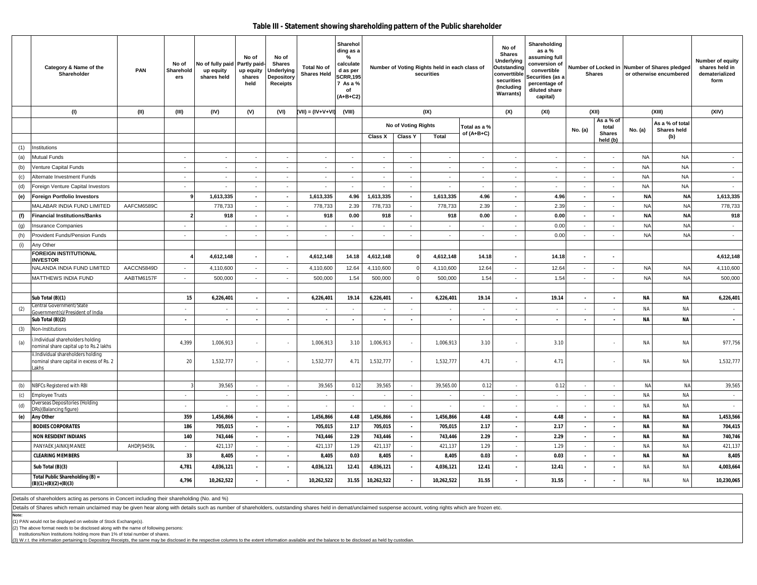#### **Table III - Statement showing shareholding pattern of the Public shareholder**

|            | Category & Name of the<br>Shareholder                                                   | PAN        | No of<br>Sharehold<br>ers | No of fully paid Partly paid-<br>up equity<br>shares held | No of<br>up equity<br>shares<br>held | No of<br><b>Shares</b><br>Underlying<br>Depository<br><b>Receipts</b> | <b>Total No of</b><br><b>Shares Held</b> | Sharehol<br>ding as a<br>%<br>calculate<br>d as per<br><b>SCRR,195</b><br>7 As a %<br>of<br>$(A+B+C2)$ |                          |                          | Number of Voting Rights held in each class of<br>securities |                              | No of<br>Shares<br>Underlying<br>Outstanding<br>converttible<br>securities<br>(Including<br><b>Warrants)</b> | Shareholding<br>as a %<br>assuming full<br>conversion of<br>convertible<br>Securities (as a<br>percentage of<br>diluted share<br>capital) |                          | <b>Shares</b>                       |                        | Number of Locked in Number of Shares pledged<br>or otherwise encumbered | Number of equity<br>shares held in<br>dematerialized<br>form |  |
|------------|-----------------------------------------------------------------------------------------|------------|---------------------------|-----------------------------------------------------------|--------------------------------------|-----------------------------------------------------------------------|------------------------------------------|--------------------------------------------------------------------------------------------------------|--------------------------|--------------------------|-------------------------------------------------------------|------------------------------|--------------------------------------------------------------------------------------------------------------|-------------------------------------------------------------------------------------------------------------------------------------------|--------------------------|-------------------------------------|------------------------|-------------------------------------------------------------------------|--------------------------------------------------------------|--|
|            | (1)                                                                                     | (II)       | (III)                     | (IV)                                                      | (V)                                  | (VI)                                                                  | (VII) = (IV+V+VI)                        | (VIII)                                                                                                 |                          |                          | (IX)                                                        |                              | (X)                                                                                                          | (XI)                                                                                                                                      |                          | (XII)                               |                        | (XIII)                                                                  | (XIV)                                                        |  |
|            |                                                                                         |            |                           |                                                           |                                      |                                                                       |                                          |                                                                                                        |                          | No of Voting Rights      |                                                             | Total as a %<br>of $(A+B+C)$ |                                                                                                              |                                                                                                                                           | No. (a)                  | As a % of<br>total<br><b>Shares</b> | No. (a)                | As a % of total<br>Shares held                                          |                                                              |  |
|            |                                                                                         |            |                           |                                                           |                                      |                                                                       |                                          |                                                                                                        | Class X                  | <b>Class Y</b>           | <b>Total</b>                                                |                              |                                                                                                              |                                                                                                                                           |                          | held (b)                            |                        | (b)                                                                     |                                                              |  |
| (1)        | Institutions                                                                            |            |                           |                                                           |                                      |                                                                       |                                          |                                                                                                        |                          |                          |                                                             |                              |                                                                                                              |                                                                                                                                           |                          |                                     |                        |                                                                         |                                                              |  |
| (a)        | Mutual Funds                                                                            |            | $\sim$<br>×               | $\sim$<br>$\sim$                                          | $\overline{\phantom{a}}$             | $\sim$                                                                | $\sim$                                   | $\sim$                                                                                                 | $\sim$                   | $\sim$                   | $\sim$                                                      | $\sim$                       | $\sim$                                                                                                       | $\overline{\phantom{a}}$                                                                                                                  | $\sim$                   | $\sim$                              | <b>NA</b><br><b>NA</b> | <b>NA</b><br><b>NA</b>                                                  | $\sim$                                                       |  |
| (b)        | Venture Capital Funds                                                                   |            | $\sim$                    | $\sim$                                                    | $\sim$<br>$\sim$                     | $\sim$<br>$\sim$                                                      | $\sim$<br>$\sim$                         | $\sim$<br>$\sim$                                                                                       | $\overline{\phantom{a}}$ | $\sim$<br>$\sim$         | $\sim$<br>$\sim$                                            | $\sim$<br>$\sim$             | $\overline{\phantom{a}}$<br>$\sim$                                                                           | $\overline{\phantom{a}}$<br>$\sim$                                                                                                        | $\sim$                   | $\sim$                              | <b>NA</b>              | <b>NA</b>                                                               | $\sim$<br>$\sim$                                             |  |
| (c)<br>(d) | Alternate Investment Funds<br>Foreign Venture Capital Investors                         |            | $\sim$                    | $\sim$                                                    | $\sim$                               | $\sim$                                                                | $\sim$                                   | $\sim$                                                                                                 | $\sim$<br>$\sim$         | $\sim$                   | $\sim$                                                      | $\sim$                       | $\sim$                                                                                                       | $\sim$                                                                                                                                    | $\sim$                   | $\sim$<br>$\sim$                    | <b>NA</b>              | <b>NA</b>                                                               | $\sim$                                                       |  |
|            | <b>Foreign Portfolio Investors</b>                                                      |            | 9                         | 1,613,335                                                 | $\blacksquare$                       | $\sim$                                                                | 1,613,335                                | 4.96                                                                                                   | 1,613,335                | $\sim$                   | 1,613,335                                                   | 4.96                         | $\blacksquare$                                                                                               | 4.96                                                                                                                                      | $\blacksquare$           | $\bullet$                           | <b>NA</b>              | <b>NA</b>                                                               | 1,613,335                                                    |  |
| (e)        | MALABAR INDIA FUND LIMITED                                                              | AAFCM6589C |                           | 778,733                                                   | $\sim$                               | $\sim$                                                                | 778,733                                  | 2.39                                                                                                   | 778,733                  | $\sim$                   | 778,733                                                     | 2.39                         | $\sim$                                                                                                       | 2.39                                                                                                                                      | $\sim$                   | $\sim$                              | <b>NA</b>              | <b>NA</b>                                                               | 778,733                                                      |  |
| (f)        | <b>Financial Institutions/Banks</b>                                                     |            | $\overline{2}$            | 918                                                       | $\blacksquare$                       | $\sim$                                                                | 918                                      | 0.00                                                                                                   | 918                      | $\sim$                   | 918                                                         | 0.00                         | $\blacksquare$                                                                                               | 0.00                                                                                                                                      | $\sim$                   | $\blacksquare$                      | <b>NA</b>              | <b>NA</b>                                                               | 918                                                          |  |
| (g)        | <b>Insurance Companies</b>                                                              |            | $\sim$                    | $\sim$                                                    | $\overline{\phantom{a}}$             | $\sim$                                                                | $\sim$                                   |                                                                                                        | $\overline{\phantom{a}}$ | $\sim$                   | $\sim$                                                      | $\sim$                       | $\sim$                                                                                                       | 0.00                                                                                                                                      | $\sim$                   | $\sim$                              | <b>NA</b>              | <b>NA</b>                                                               | $\sim$                                                       |  |
| (h)        | Provident Funds/Pension Funds                                                           |            | $\sim$                    | $\sim$                                                    | $\overline{\phantom{a}}$             | $\sim$                                                                | $\sim$                                   | $\sim$                                                                                                 | $\sim$                   | $\sim$                   | $\sim$                                                      | $\sim$                       | $\sim$                                                                                                       | 0.00                                                                                                                                      | $\sim$                   | $\sim$                              | <b>NA</b>              | <b>NA</b>                                                               | $\sim$                                                       |  |
| (i)        | Any Other                                                                               |            |                           |                                                           |                                      |                                                                       |                                          |                                                                                                        |                          |                          |                                                             |                              |                                                                                                              |                                                                                                                                           |                          |                                     |                        |                                                                         |                                                              |  |
|            | <b>FOREIGN INSTITUTIONAL</b>                                                            |            |                           | 4,612,148                                                 | ÷                                    | $\sim$                                                                | 4,612,148                                | 14.18                                                                                                  | 4,612,148                | ſ                        | 4,612,148                                                   | 14.18                        | $\sim$                                                                                                       | 14.18                                                                                                                                     |                          |                                     |                        |                                                                         | 4,612,148                                                    |  |
|            | <b>INVESTOR</b>                                                                         |            |                           |                                                           |                                      |                                                                       |                                          |                                                                                                        |                          |                          |                                                             |                              |                                                                                                              |                                                                                                                                           |                          |                                     |                        |                                                                         |                                                              |  |
|            | NALANDA INDIA FUND LIMITED                                                              | AACCN5849D | $\sim$                    | 4,110,600                                                 | $\sim$                               | $\sim$                                                                | 4,110,600                                | 12.64                                                                                                  | 4,110,600                | $\Omega$                 | 4,110,600                                                   | 12.64                        | $\sim$                                                                                                       | 12.64                                                                                                                                     | $\sim$                   | $\sim$                              | <b>NA</b>              | <b>NA</b>                                                               | 4,110,600                                                    |  |
|            | MATTHEWS INDIA FUND                                                                     | AABTM6157F | $\sim$                    | 500,000                                                   | $\sim$                               | $\sim$                                                                | 500,000                                  | 1.54                                                                                                   | 500,000                  | $\mathbf 0$              | 500,000                                                     | 1.54                         | $\sim$                                                                                                       | 1.54                                                                                                                                      | $\sim$                   | $\sim$                              | <b>NA</b>              | <b>NA</b>                                                               | 500,000                                                      |  |
|            |                                                                                         |            |                           |                                                           |                                      |                                                                       |                                          |                                                                                                        |                          |                          |                                                             |                              |                                                                                                              |                                                                                                                                           |                          |                                     |                        |                                                                         |                                                              |  |
|            | Sub Total (B)(1)<br>Central Government/State                                            |            | 15                        | 6,226,401                                                 | $\overline{\phantom{a}}$             | $\overline{\phantom{a}}$                                              | 6,226,401                                | 19.14                                                                                                  | 6,226,401                | $\overline{\phantom{a}}$ | 6,226,401                                                   | 19.14                        | $\overline{\phantom{a}}$                                                                                     | 19.14                                                                                                                                     | $\overline{\phantom{a}}$ | $\overline{\phantom{a}}$            | <b>NA</b>              | <b>NA</b>                                                               | 6,226,401                                                    |  |
| (2)        | Government(s)/President of India                                                        |            |                           |                                                           |                                      | $\mathcal{L}$                                                         |                                          |                                                                                                        |                          |                          |                                                             | $\sim$                       |                                                                                                              |                                                                                                                                           |                          |                                     | NA                     | <b>NA</b>                                                               | $\sim$                                                       |  |
|            | Sub Total (B)(2)                                                                        |            | $\overline{\phantom{a}}$  | $\blacksquare$                                            | $\blacksquare$                       | $\overline{\phantom{a}}$                                              | $\blacksquare$                           | $\blacksquare$                                                                                         | $\overline{\phantom{a}}$ | $\overline{\phantom{a}}$ | $\blacksquare$                                              | $\sim$                       |                                                                                                              | $\blacksquare$                                                                                                                            |                          |                                     | <b>NA</b>              | <b>NA</b>                                                               | $\blacksquare$                                               |  |
| (3)        | Non-Institutions                                                                        |            |                           |                                                           |                                      |                                                                       |                                          |                                                                                                        |                          |                          |                                                             |                              |                                                                                                              |                                                                                                                                           |                          |                                     |                        |                                                                         |                                                              |  |
| (a)        | Individual shareholders holding<br>nominal share capital up to Rs.2 lakhs               |            | 4,399                     | 1,006,913                                                 | $\sim$                               | $\overline{\phantom{a}}$                                              | 1,006,913                                | 3.10                                                                                                   | 1,006,913                |                          | 1,006,913                                                   | 3.10                         |                                                                                                              | 3.10                                                                                                                                      |                          |                                     | NA                     | <b>NA</b>                                                               | 977,756                                                      |  |
|            | ii.Individual shareholders holding<br>nominal share capital in excess of Rs. 2<br>Lakhs |            | 20                        | 1,532,777                                                 | $\sim$                               | $\sim$                                                                | 1,532,777                                | 4.71                                                                                                   | 1,532,777                | $\overline{\phantom{a}}$ | 1,532,777                                                   | 4.71                         |                                                                                                              | 4.71                                                                                                                                      |                          |                                     | NA                     | <b>NA</b>                                                               | 1,532,777                                                    |  |
|            |                                                                                         |            |                           |                                                           |                                      |                                                                       |                                          |                                                                                                        |                          |                          |                                                             |                              |                                                                                                              |                                                                                                                                           |                          |                                     |                        |                                                                         |                                                              |  |
| (b)        | NBFCs Registered with RBI                                                               |            | $\mathbf{3}$              | 39,565                                                    | $\sim$                               | $\sim$                                                                | 39,565                                   | 0.12                                                                                                   | 39,565                   | $\sim$                   | 39,565.00                                                   | 0.12                         | $\sim$                                                                                                       | 0.12                                                                                                                                      | $\sim$                   | $\sim$                              | <b>NA</b>              | <b>NA</b>                                                               | 39,565                                                       |  |
| (c)        | <b>Employee Trusts</b>                                                                  |            | $\overline{\phantom{a}}$  | $\sim$                                                    | $\sim$                               | $\sim$                                                                | $\sim$                                   | $\sim$                                                                                                 | $\sim$                   | $\sim$                   | $\sim$                                                      | $\sim$                       | $\sim$                                                                                                       | $\sim$                                                                                                                                    | $\overline{\phantom{a}}$ | $\sim$                              | <b>NA</b>              | <b>NA</b>                                                               | $\sim$                                                       |  |
| (d)        | Overseas Depositories (Holding<br>DRs)(Balancing figure)                                |            |                           | ×.                                                        | $\sim$                               | $\sim$                                                                | ÷                                        |                                                                                                        | $\sim$                   |                          |                                                             | $\sim$                       |                                                                                                              |                                                                                                                                           |                          |                                     | NA                     | <b>NA</b>                                                               | $\sim$                                                       |  |
| (e)        | <b>Any Other</b>                                                                        |            | 359                       | 1,456,866                                                 | $\overline{\phantom{a}}$             | $\sim$                                                                | 1,456,866                                | 4.48                                                                                                   | 1,456,866                | $\overline{\phantom{a}}$ | 1,456,866                                                   | 4.48                         |                                                                                                              | 4.48                                                                                                                                      | $\overline{\phantom{a}}$ |                                     | <b>NA</b>              | <b>NA</b>                                                               | 1,453,566                                                    |  |
|            | <b>BODIES CORPORATES</b>                                                                |            | 186                       | 705,015                                                   | $\overline{\phantom{a}}$             | $\sim$                                                                | 705,015                                  | 2.17                                                                                                   | 705,015                  | $\sim$                   | 705,015                                                     | 2.17                         | $\overline{\phantom{a}}$                                                                                     | 2.17                                                                                                                                      | $\overline{\phantom{a}}$ | $\overline{\phantom{a}}$            | <b>NA</b>              | <b>NA</b>                                                               | 704,415                                                      |  |
|            | <b>NON RESIDENT INDIANS</b>                                                             |            | 140                       | 743,446                                                   | $\overline{\phantom{a}}$             | $\sim$                                                                | 743,446                                  | 2.29                                                                                                   | 743,446                  | $\sim$                   | 743,446                                                     | 2.29                         | $\overline{\phantom{a}}$                                                                                     | 2.29                                                                                                                                      | $\blacksquare$           |                                     | <b>NA</b>              | <b>NA</b>                                                               | 740,746                                                      |  |
|            | PANYAEK JAINKIJMANEE                                                                    | AHDPJ9459L | $\sim$                    | 421,137                                                   | $\sim$                               | $\sim$                                                                | 421,137                                  | 1.29                                                                                                   | 421,137                  | $\sim$                   | 421,137                                                     | 1.29                         | $\sim$                                                                                                       | 1.29                                                                                                                                      | $\sim$                   | $\sim$                              | NA                     | <b>NA</b>                                                               | 421,137                                                      |  |
|            | <b>CLEARING MEMBERS</b>                                                                 |            | 33                        | 8,405                                                     | $\overline{\phantom{a}}$             | $\sim$                                                                | 8,405                                    | 0.03                                                                                                   | 8,405                    | $\sim$                   | 8,405                                                       | 0.03                         | $\overline{\phantom{a}}$                                                                                     | 0.03                                                                                                                                      | $\overline{\phantom{a}}$ | $\overline{\phantom{a}}$            | <b>NA</b>              | <b>NA</b>                                                               | 8,405                                                        |  |
|            | Sub Total (B)(3)                                                                        |            | 4,781                     | 4,036,121                                                 | $\blacksquare$                       | $\overline{\phantom{a}}$                                              | 4,036,121                                | 12.41                                                                                                  | 4,036,121                | $\overline{\phantom{a}}$ | 4,036,121                                                   | 12.41                        |                                                                                                              | 12.41                                                                                                                                     |                          |                                     | NA                     | <b>NA</b>                                                               | 4,003,664                                                    |  |
|            | Total Public Shareholding (B) =<br>$(B)(1)+(B)(2)+(B)(3)$                               |            | 4,796                     | 10,262,522                                                |                                      |                                                                       | 10,262,522                               | 31.55                                                                                                  | 10,262,522               |                          | 10,262,522                                                  | 31.55                        |                                                                                                              | 31.55                                                                                                                                     |                          |                                     | <b>NA</b>              | <b>NA</b>                                                               | 10,230,065                                                   |  |

Details of shareholders acting as persons in Concert including their shareholding (No. and %)

Details of Shares which remain unclaimed may be given hear along with details such as number of shareholders, outstanding shares held in demat/unclaimed suspense account, voting rights which are frozen etc.

**Note:**

(1) PAN would not be displayed on website of Stock Exchange(s).

(2) The above format needs to be disclosed along with the name of following persons:

Institutions/Non Institutions holding more than 1% of total number of shares.

(3) W.r.t. the information pertaining to Depository Receipts, the same may be disclosed in the respective columns to the extent information available and the balance to be disclosed as held by custodian.